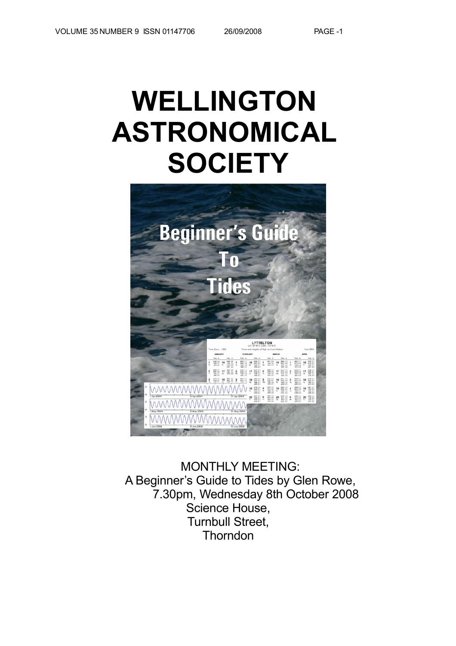# **WELLINGTON ASTRONOMICAL SOCIETY**



MONTHLY MEETING: A Beginner's Guide to Tides by Glen Rowe, 7.30pm, Wednesday 8th October 2008 Science House, Turnbull Street, Thorndon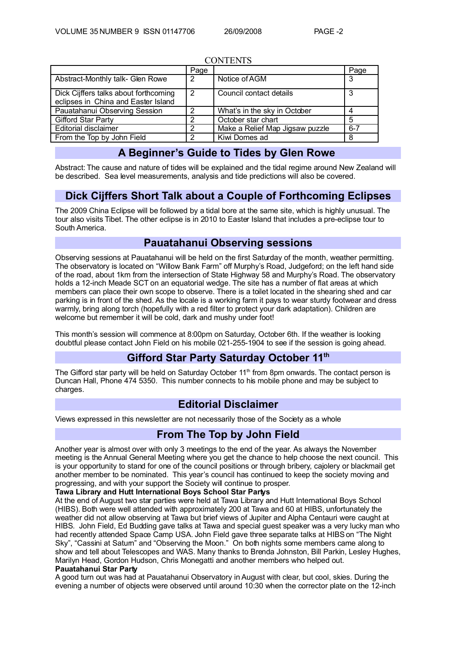| CONTENTS                                                                     |      |                                 |         |  |
|------------------------------------------------------------------------------|------|---------------------------------|---------|--|
|                                                                              | Page |                                 | Page    |  |
| Abstract-Monthly talk- Glen Rowe                                             | 2    | Notice of AGM                   | 3       |  |
| Dick Cijffers talks about forthcoming<br>eclipses in China and Easter Island | 2    | Council contact details         | 3       |  |
| Pauatahanui Observing Session                                                | ົ    | What's in the sky in October    |         |  |
| <b>Gifford Star Party</b>                                                    |      | October star chart              | 5       |  |
| <b>Editorial disclaimer</b>                                                  |      | Make a Relief Map Jigsaw puzzle | $6 - 7$ |  |
| From the Top by John Field                                                   | ົ    | Kiwi Domes ad                   | 8       |  |

### CONTENTS FRO

## **A Beginner's Guide to Tides by Glen Rowe**

Abstract: The cause and nature of tides will be explained and the tidal regime around New Zealand will be described. Sea level measurements, analysis and tide predictions will also be covered.

## **Dick Cijffers Short Talk about a Couple of Forthcoming Eclipses**

The 2009 China Eclipse will be followed by a tidal bore at the same site, which is highly unusual. The tour also visits Tibet. The other eclipse is in 2010 to Easter Island that includes a pre-eclipse tour to South America.

## **Pauatahanui Observing sessions**

Observing sessions at Pauatahanui will be held on the first Saturday of the month, weather permitting. The observatory is located on "Willow Bank Farm" off Murphy's Road, Judgeford; on the left hand side of the road, about 1km from the intersection of State Highway 58 and Murphy's Road. The observatory holds a 12-inch Meade SCT on an equatorial wedge. The site has a number of flat areas at which members can place their own scope to observe. There is a toilet located in the shearing shed and car parking is in front of the shed. As the locale is a working farm it pays to wear sturdy footwear and dress warmly, bring along torch (hopefully with a red filter to protect your dark adaptation). Children are welcome but remember it will be cold, dark and mushy under foot!

This month's session will commence at 8:00pm on Saturday, October 6th. If the weather is looking doubtful please contact John Field on his mobile 021-255-1904 to see if the session is going ahead.

## **Gifford Star Party Saturday October 11 th**

The Gifford star party will be held on Saturday October 11<sup>th</sup> from 8pm onwards. The contact person is Duncan Hall, Phone 474 5350. This number connects to his mobile phone and may be subject to charges.

## **Editorial Disclaimer**

Views expressed in this newsletter are not necessarily those of the Society as a whole

## **From The Top by John Field**

Another year is almost over with only 3 meetings to the end of the year. As always the November meeting is the Annual General Meeting where you get the chance to help choose the next council. This is your opportunity to stand for one of the council positions or through bribery, cajolery or blackmail get another member to be nominated. This year's council has continued to keep the society moving and progressing, and with your support the Society will continue to prosper.

#### **Tawa Library and Hutt International Boys School Star Partys**

At the end of August two star parties were held at Tawa Library and Hutt International Boys School (HIBS). Both were well attended with approximately 200 at Tawa and 60 at HIBS, unfortunately the weather did not allow observing at Tawa but brief views of Jupiter and Alpha Centauri were caught at HIBS. John Field, Ed Budding gave talks at Tawa and special guest speaker was a very lucky man who had recently attended Space Camp USA. John Field gave three separate talks at HIBS on "The Night Sky", "Cassini at Satum" and "Observing the Moon." On both nights some members came along to show and tell about Telescopes and WAS. Many thanks to Brenda Johnston, Bill Parkin, Lesley Hughes, Marilyn Head, Gordon Hudson, Chris Monegatti and another members who helped out.

#### **Pauatahanui Star Party**

A good turn out was had at Pauatahanui Observatory in August with clear, but cool, skies. During the evening a number of objects were observed until around 10:30 when the corrector plate on the 12-inch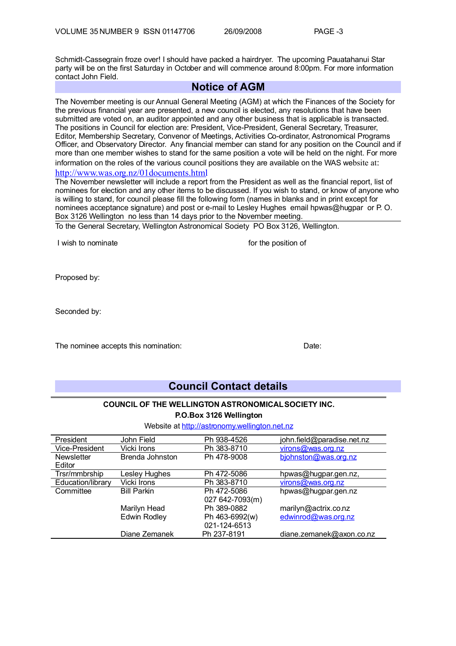Schmidt-Cassegrain froze over! I should have packed a hairdryer. The upcoming Pauatahanui Star party will be on the first Saturday in October and will commence around 8:00pm. For more information contact John Field.

## **Notice of AGM**

The November meeting is our Annual General Meeting (AGM) at which the Finances of the Society for the previous financial year are presented, a new council is elected, any resolutions that have been submitted are voted on, an auditor appointed and any other business that is applicable is transacted. The positions in Council for election are: President, Vice-President, General Secretary, Treasurer, Editor, Membership Secretary, Convenor of Meetings, Activities Co-ordinator, Astronomical Programs Officer, and Observatory Director. Any financial member can stand for any position on the Council and if more than one member wishes to stand for the same position a vote will be held on the night. For more information on the roles of the various council positions they are available on the WAS website at: <http://www.was.org.nz/01documents.html>

The November newsletter will include a report from the President as well as the financial report, list of nominees for election and any other items to be discussed. If you wish to stand, or know of anyone who is willing to stand, for council please fill the following form (names in blanks and in print except for nominees acceptance signature) and post or e-mail to Lesley Hughes email hpwas@hugpar or P. O. Box 3126 Wellington no less than 14 days prior to the November meeting.

To the General Secretary, Wellington Astronomical Society PO Box 3126, Wellington.

I wish to nominate **interest in the interval of the position of**  $\mathbf{f}$  or the position of

Proposed by:

Seconded by:

The nominee accepts this nomination: The nominee accepts this nomination:

## **Council Contact details**

# **COUNCIL OF THE WELLINGTON ASTRONOMICAL SOCIETY INC.**

**P.O.Box 3126 Wellington**

### Website at [http://astronomy.wellington.net.nz](http://astronomy.wellington.net.nz/)

| President         | John Field          | Ph 938-4526     | john.field@paradise.net.nz |
|-------------------|---------------------|-----------------|----------------------------|
| Vice-President    | Vicki Irons         | Ph 383-8710     | virons@was.org.nz          |
| <b>Newsletter</b> | Brenda Johnston     | Ph 478-9008     | bjohnston@was.org.nz       |
| Editor            |                     |                 |                            |
| Trsr/mmbrship     | Lesley Hughes       | Ph 472-5086     | hpwas@hugpar.gen.nz,       |
| Education/library | Vicki Irons         | Ph 383-8710     | virons@was.org.nz          |
| Committee         | <b>Bill Parkin</b>  | Ph 472-5086     | hpwas@hugpar.gen.nz        |
|                   |                     | 027 642-7093(m) |                            |
|                   | Marilyn Head        | Ph 389-0882     | marilyn@actrix.co.nz       |
|                   | <b>Edwin Rodley</b> | Ph 463-6992(w)  | edwinrod@was.org.nz        |
|                   |                     | 021-124-6513    |                            |
|                   | Diane Zemanek       | Ph 237-8191     | diane.zemanek@axon.co.nz   |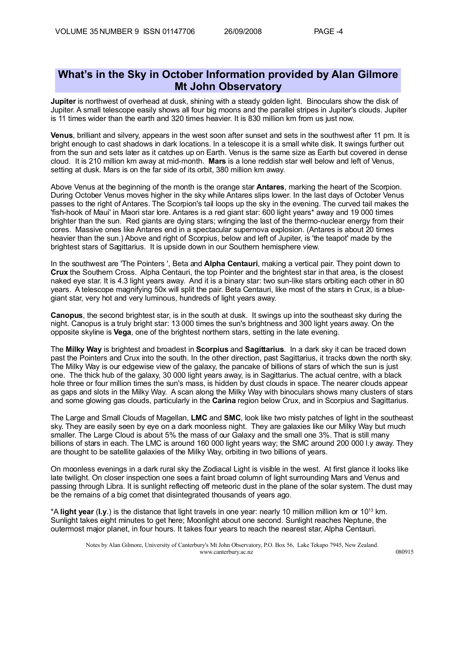## **What's in the Sky in October Information provided by Alan Gilmore Mt John Observatory**

**Jupiter** is northwest of overhead at dusk, shining with a steady golden light. Binoculars show the disk of Jupiter. A small telescope easily shows all four big moons and the parallel stripes in Jupiter's clouds. Jupiter is 11 times wider than the earth and 320 times heavier. It is 830 million km from us just now.

**Venus**, brilliant and silvery, appears in the west soon after sunset and sets in the southwest after 11 pm. It is bright enough to cast shadows in dark locations. In a telescope it is a small white disk. It swings further out from the sun and sets later as it catches up on Earth. Venus is the same size as Earth but covered in dense cloud. It is 210 million km away at mid-month. **Mars** is a lone reddish star well below and left of Venus, setting at dusk. Mars is on the far side of its orbit, 380 million km away.

Above Venus at the beginning of the month is the orange star **Antares**, marking the heart of the Scorpion. During October Venus moves higher in the sky while Antares slips lower. In the last days of October Venus passes to the right of Antares. The Scorpion's tail loops up the sky inthe evening. The curved tail makes the 'fish-hook of Maui' in Maori star lore. Antares is a red giant star: 600 light years\* away and 19 000 times brighter than the sun. Red giants are dying stars; wringing the last of the thermo-nuclear energy from their cores. Massive ones like Antares end in a spectacular supernova explosion. (Antares is about 20 times heavier than the sun.) Above and right of Scorpius, below and left of Jupiter, is 'the teapot' made by the brightest stars of Sagittarius. It is upside down in our Southern hemisphere view.

In the southwest are 'The Pointers ', Beta and **Alpha Centauri**, making a vertical pair. They point down to **Crux** the Southern Cross. Alpha Centauri, the top Pointer and the brightest star in that area, is the closest naked eye star. It is 4.3 light years away. And it is a binary star: two sun-like stars orbiting each other in 80 years. A telescope magnifying 50x will split the pair. Beta Centauri, like most of the stars in Crux, is a bluegiant star, very hot and very luminous, hundreds of light years away.

**Canopus**, the second brightest star, is in the south at dusk. It swings up into the southeast sky during the night. Canopus is a truly bright star: 13000 times the sun's brightness and 300 light years away. On the opposite skyline is **Vega**, one of the brightest northern stars, setting in the late evening.

The **Milky Way** is brightest and broadest in **Scorpius** and **Sagittarius**. In a dark sky it can be traced down past the Pointers and Crux into the south. In the other direction, past Sagittarius, it tracks down the north sky. The Milky Way is our edgewise view of the galaxy, the pancake of billions of stars of which the sun is just one. The thick hub of the galaxy, 30 000 light years away, is in Sagittarius. The actual centre, with a black hole three or four million times the sun's mass, is hidden by dust clouds in space. The nearer clouds appear as gaps and slots in the Milky Way. A scan along the Milky Way with binoculars shows many clusters of stars and some glowing gas clouds, particularly in the **Carina** region below Crux, and in Scorpius and Sagittarius.

The Large and Small Clouds of Magellan, **LMC** and **SMC**, look like two misty patches of light in the southeast sky. They are easily seen by eye on a dark moonless night. They are galaxies like our Milky Way but much smaller. The Large Cloud is about 5% the mass of our Galaxy and the small one 3%. That is still many billions of stars in each. The LMC is around 160 000 light years way; the SMC around 200 000 l.y away. They are thought to be satellite galaxies of the Milky Way, orbiting in two billions of years.

On moonless evenings in a dark rural sky the Zodiacal Light is visible in the west. At first glance it looks like late twilight. On closer inspection one sees a faint broad column of light surrounding Mars and Venus and passing through Libra. It is sunlight reflecting off meteoric dust in the plane of the solar system. The dust may be the remains of a big comet that disintegrated thousands of years ago.

\*A **light year** (**l.y**.) is the distance that light travels in one year: nearly 10 million million km or 10<sup>13</sup> km. Sunlight takes eight minutes to get here; Moonlight about one second. Sunlight reaches Neptune, the outermost major planet, in four hours. It takes four years to reach the nearest star, Alpha Centauri.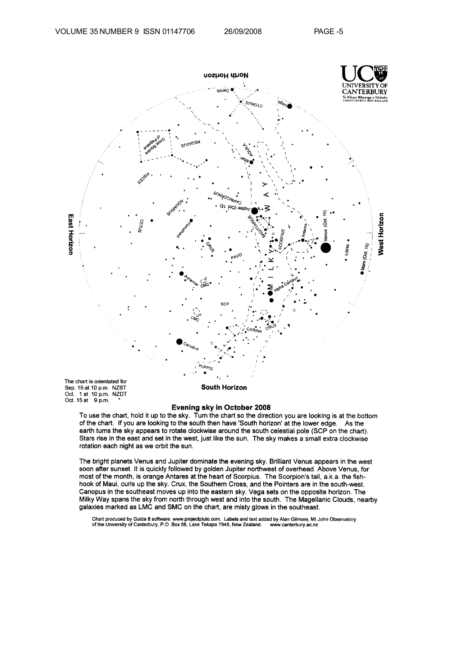

### Evening sky in October 2008

To use the chart, hold it up to the sky. Turn the chart so the direction you are looking is at the bottom of the chart. If you are looking to the south then have 'South horizon' at the lower edge. As the earth turns the sky appears to rotate clockwise around the south celestial pole (SCP on the chart). Stars rise in the east and set in the west, just like the sun. The sky makes a small extra clockwise rotation each night as we orbit the sun.

The bright planets Venus and Jupiter dominate the evening sky. Brilliant Venus appears in the west soon after sunset. It is quickly followed by golden Jupiter northwest of overhead. Above Venus, for most of the month, is orange Antares at the heart of Scorpius. The Scorpion's tail, a.k.a. the fishhook of Maui, curls up the sky. Crux, the Southern Cross, and the Pointers are in the south-west. Canopus in the southeast moves up into the eastern sky. Vega sets on the opposite horizon. The Milky Way spans the sky from north through west and into the south. The Magellanic Clouds, nearby galaxies marked as LMC and SMC on the chart, are misty glows in the southeast.

Chart produced by Guide 8 software; www.projectpluto.com. Labels and text added by Alan Gilmore, Mt John Observatory of the University of Canterbury, P.O. Box 56, Lake Tekapo 7945, New Zealand. www.canterbury.ac.nz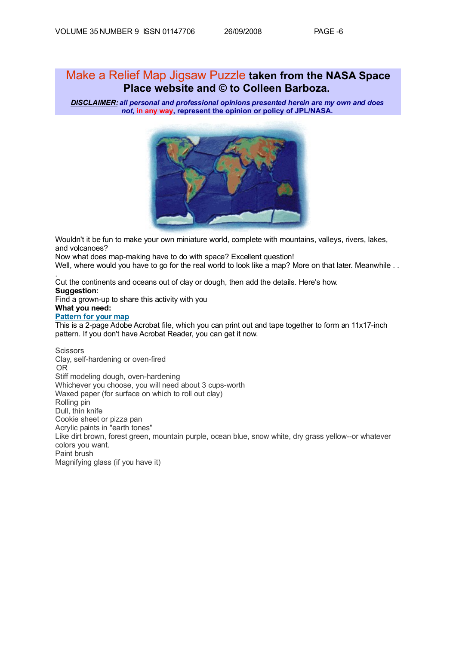.

## Make a Relief Map Jigsaw Puzzle **taken from the NASA Space Place website and © to Colleen Barboza.**

*DISCLAIMER: all personal and professional opinions presented herein are my own and does not,* **in any way, represent the opinion or policy of JPL/NASA.**



Wouldn't it be fun to make your own miniature world, complete with mountains, valleys, rivers, lakes, and volcanoes?

Now what does map-making have to do with space? Excellent question!

Well, where would you have to go for the real world to look like a map? More on that later. Meanwhile . .

Cut the continents and oceans out of clay or dough, then add the details. Here's how. **Suggestion:** Find a grown-up to share this activity with you **What you need: [Pattern for your map](http://spaceplace.nasa.gov/en/kids/worldmap.pdf)** This is a 2-page Adobe Acrobat file, which you can print out and tape together to form an 11x17-inch pattern. If you don't have Acrobat Reader, you can get it now.

**Scissors** Clay, self-hardening or oven-fired OR Stiff modeling dough, oven-hardening Whichever you choose, you will need about 3 cups-worth Waxed paper (for surface on which to roll out clay) Rolling pin Dull, thin knife Cookie sheet or pizza pan Acrylic paints in "earth tones" Like dirt brown, forest green, mountain purple, ocean blue, snow white, dry grass yellow--or whatever colors you want. Paint brush Magnifying glass (if you have it)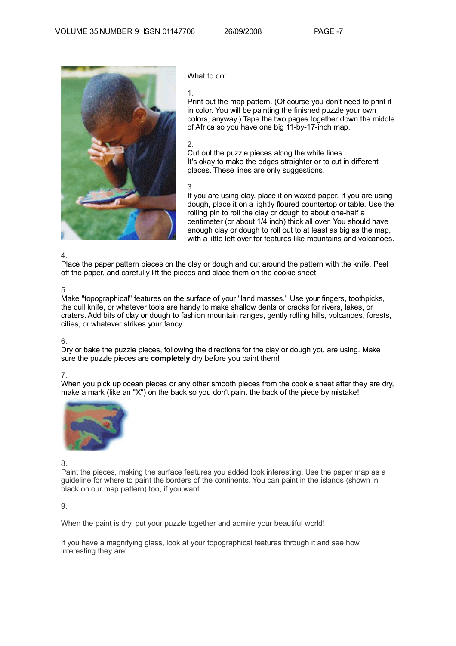

What to do:

1.

Print out the map pattern. (Of course you don't need to print it in color. You will be painting the finished puzzle your own colors, anyway.) Tape the two pages together down the middle of Africa so you have one big 11-by-17-inch map.

#### 2.

Cut out the puzzle pieces along the white lines. It's okay to make the edges straighter or to cut in different places. These lines are only suggestions.

### 3.

If you are using clay, place it on waxed paper. If you are using dough, place it on a lightly floured countertop or table. Use the rolling pin to roll the clay or dough to about one-half a centimeter (or about 1/4 inch) thick all over. You should have enough clay or dough to roll out to at least as big as the map, with a little left over for features like mountains and volcanoes.

#### 4.

Place the paper pattern pieces on the clay or dough and cut around the pattern with the knife. Peel off the paper, and carefully lift the pieces and place them on the cookie sheet.

#### 5.

Make "topographical" features on the surface of your "land masses." Use your fingers, toothpicks, the dull knife, or whatever tools are handy to make shallow dents or cracks for rivers, lakes, or craters. Add bits of clay or dough to fashion mountain ranges, gently rolling hills, volcanoes, forests, cities, or whatever strikes your fancy.

#### 6.

Dry or bake the puzzle pieces, following the directions for the clay or dough you are using. Make sure the puzzle pieces are **completely** dry before you paint them!

#### 7.

When you pick up ocean pieces or any other smooth pieces from the cookie sheet after they are dry, make a mark (like an "X") on the back so you don't paint the back of the piece by mistake!



#### 8.

Paint the pieces, making the surface features you added look interesting. Use the paper map as a guideline for where to paint the borders of the continents. You can paint in the islands (shown in black on our map pattern) too, if you want.

9.

When the paint is dry, put your puzzle together and admire your beautiful world!

If you have a magnifying glass, look at your topographical features through it and see how interesting they are!